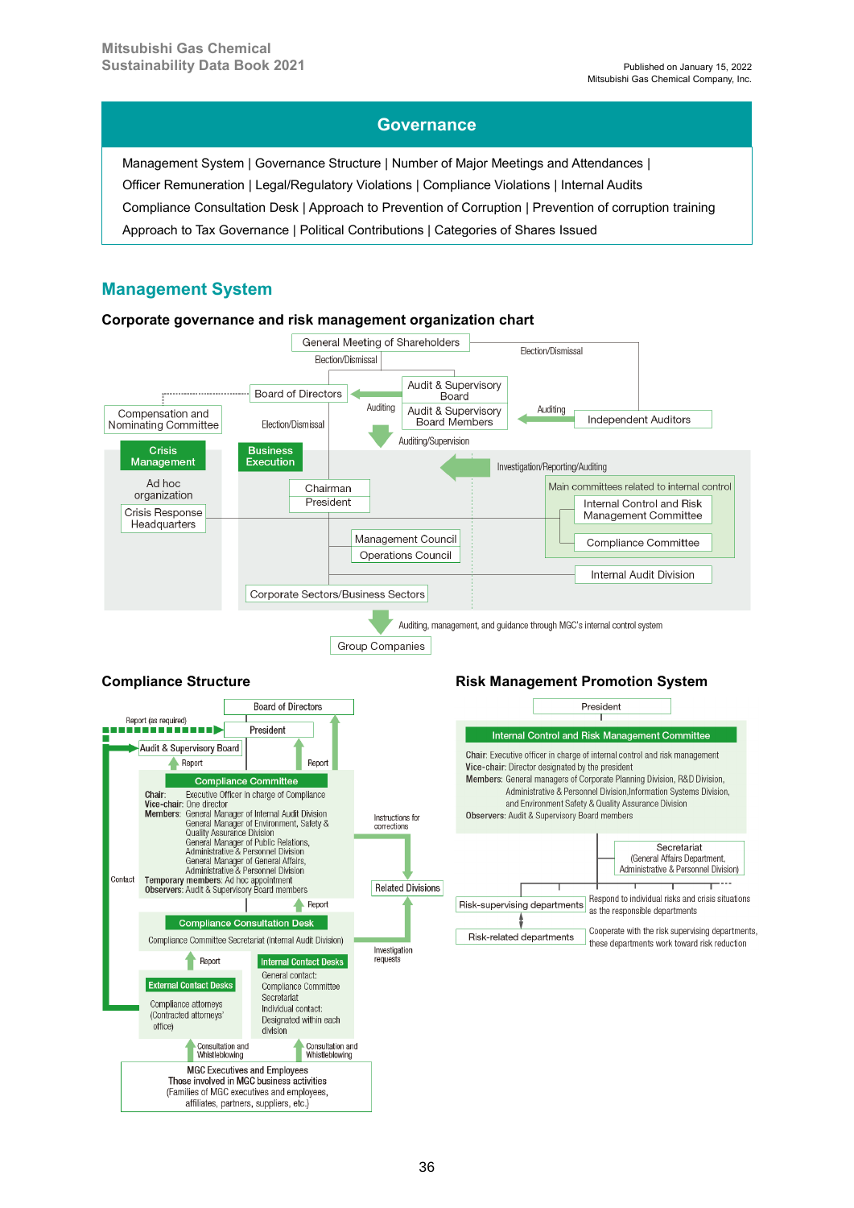#### **Governance**

Management System | Governance Structure | Number of Major Meetings and Attendances | Officer Remuneration | Legal/Regulatory Violations | Compliance Violations | Internal Audits Compliance Consultation Desk | Approach to Prevention of Corruption | Prevention of corruption training Approach to Tax Governance | Political Contributions | Categories of Shares Issued

#### **Management System**

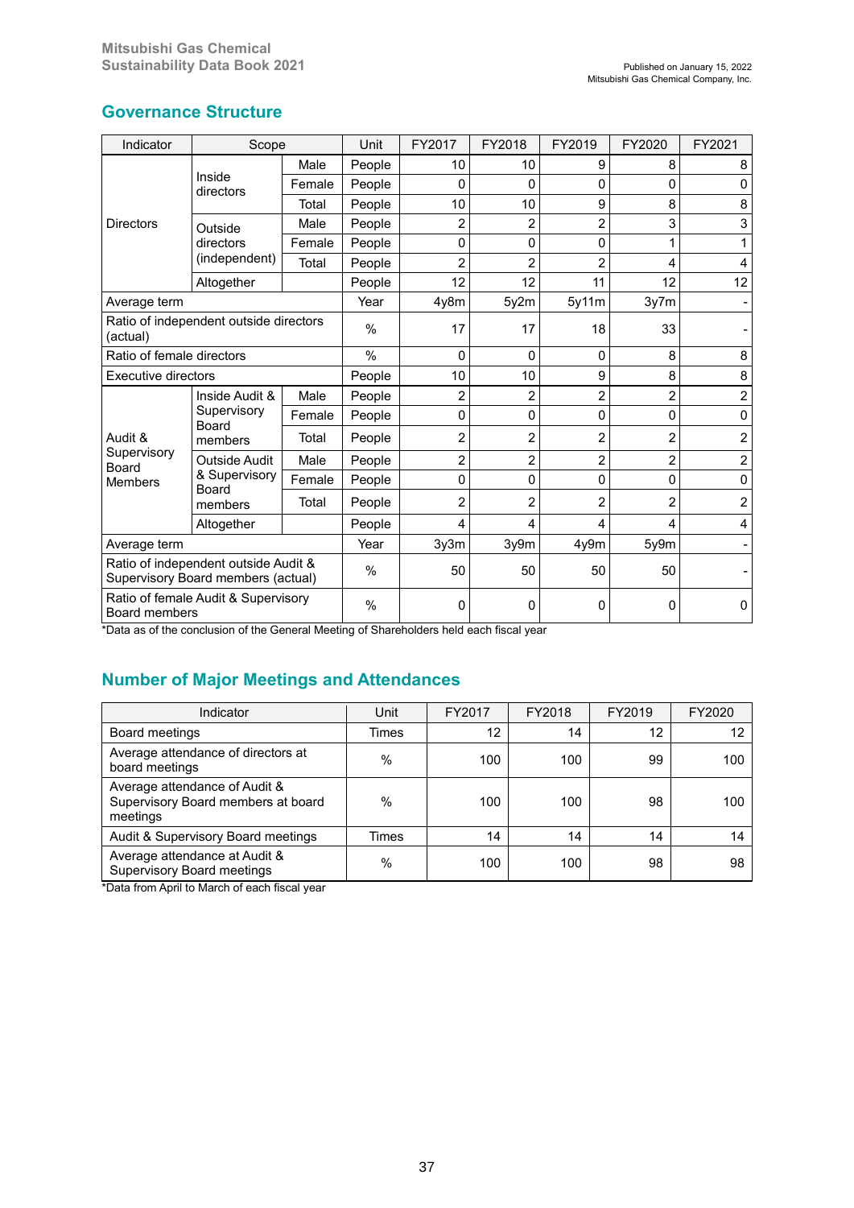| Indicator                                                                  | Scope                                                     |        | Unit          | FY2017         | FY2018         | FY2019         | FY2020         | FY2021                  |
|----------------------------------------------------------------------------|-----------------------------------------------------------|--------|---------------|----------------|----------------|----------------|----------------|-------------------------|
|                                                                            |                                                           | Male   | People        | 10             | 10             | 9              | 8              | 8                       |
|                                                                            | Inside<br>directors                                       | Female | People        | 0              | 0              | 0              | 0              | 0                       |
|                                                                            |                                                           | Total  | People        | 10             | 10             | 9              | 8              | 8                       |
| <b>Directors</b>                                                           | Outside                                                   | Male   | People        | $\overline{2}$ | 2              | 2              | 3              | 3                       |
|                                                                            | directors                                                 | Female | People        | 0              | 0              | 0              |                |                         |
|                                                                            | (independent)                                             | Total  | People        | $\overline{2}$ | 2              | $\overline{c}$ | 4              | 4                       |
|                                                                            | Altogether                                                |        | People        | 12             | 12             | 11             | 12             | 12                      |
| Average term                                                               |                                                           |        | Year          | 4y8m           | 5y2m           | 5y11m          | 3y7m           |                         |
| Ratio of independent outside directors<br>(actual)                         |                                                           |        | $\%$          | 17             | 17             | 18             | 33             |                         |
| Ratio of female directors                                                  |                                                           |        | $\%$          | 0              | 0              | 0              | 8              | 8                       |
| <b>Executive directors</b>                                                 |                                                           |        | People        | 10             | 10             | 9              | 8              | 8                       |
|                                                                            | Inside Audit &<br>Supervisory<br>Board<br>members         | Male   | People        | 2              | $\overline{c}$ | $\overline{2}$ | $\overline{2}$ | $\overline{\mathbf{c}}$ |
|                                                                            |                                                           | Female | People        | 0              | 0              | 0              | 0              | $\mathbf{0}$            |
| Audit &                                                                    |                                                           | Total  | People        | $\overline{2}$ | 2              | 2              | 2              | $\overline{c}$          |
| Supervisory<br>Board                                                       | <b>Outside Audit</b><br>& Supervisory<br>Board<br>members | Male   | People        | 2              | 2              | 2              | 2              | $\overline{c}$          |
| <b>Members</b>                                                             |                                                           | Female | People        | 0              | 0              | 0              | 0              | $\Omega$                |
|                                                                            |                                                           | Total  | People        | 2              | 2              | $\overline{2}$ | $\overline{2}$ | 2                       |
|                                                                            | Altogether                                                |        | People        | 4              | 4              | 4              | 4              | 4                       |
| Average term                                                               |                                                           |        | Year          | 3y3m           | 3y9m           | 4y9m           | 5y9m           |                         |
| Ratio of independent outside Audit &<br>Supervisory Board members (actual) |                                                           |        | $\frac{0}{0}$ | 50             | 50             | 50             | 50             |                         |
| Ratio of female Audit & Supervisory<br><b>Board members</b>                |                                                           | $\%$   | 0             | 0              | 0              | 0              | 0              |                         |

## **Governance Structure**

\*Data as of the conclusion of the General Meeting of Shareholders held each fiscal year

## **Number of Major Meetings and Attendances**

| Indicator                                                                       | Unit  | FY2017 | FY2018 | FY2019 | FY2020 |
|---------------------------------------------------------------------------------|-------|--------|--------|--------|--------|
| <b>Board meetings</b>                                                           | Times | 12     | 14     | 12     | 12     |
| Average attendance of directors at<br>board meetings                            | $\%$  | 100    | 100    | 99     | 100    |
| Average attendance of Audit &<br>Supervisory Board members at board<br>meetings | $\%$  | 100    | 100    | 98     | 100    |
| Audit & Supervisory Board meetings                                              | Times | 14     | 14     | 14     | 14     |
| Average attendance at Audit &<br><b>Supervisory Board meetings</b>              | $\%$  | 100    | 100    | 98     | 98     |

\*Data from April to March of each fiscal year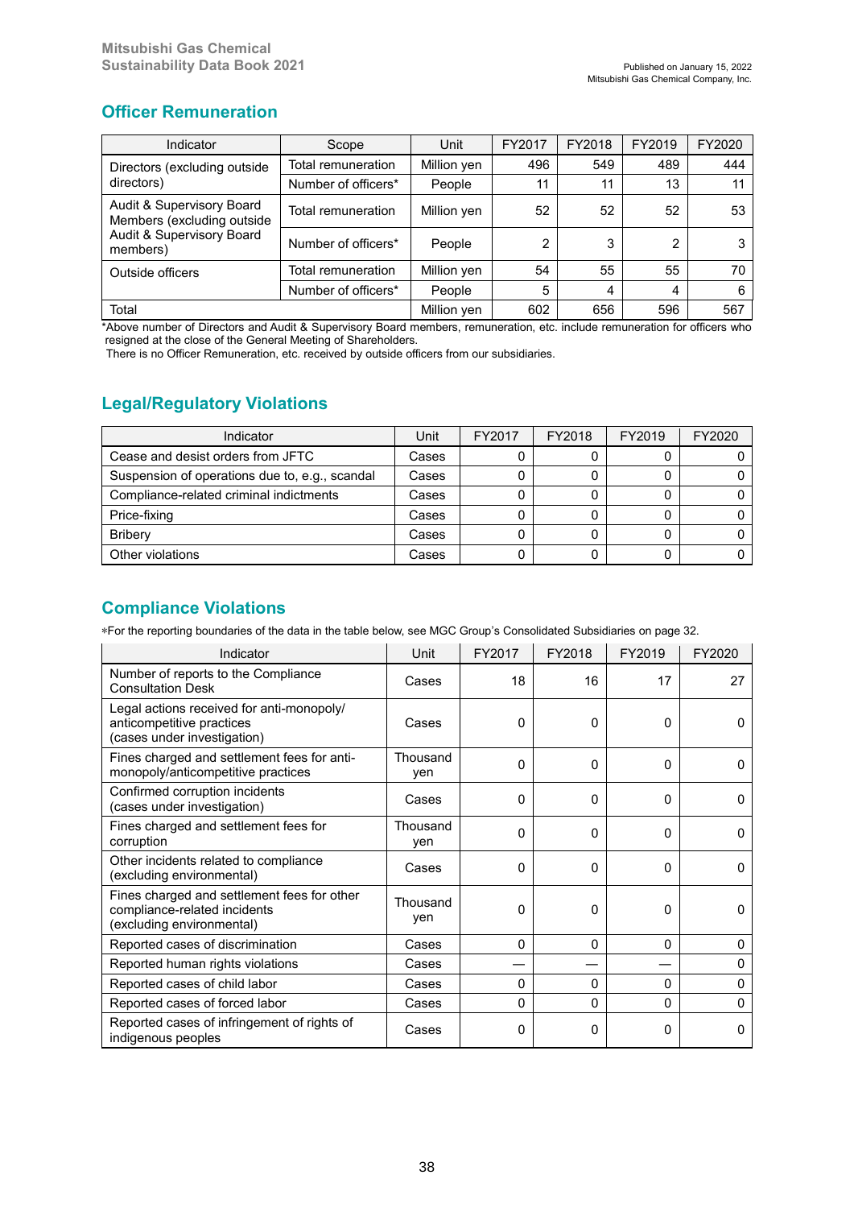## **Officer Remuneration**

| Indicator                                               | Scope                             | Unit        | FY2017 | FY2018 | FY2019 | FY2020 |
|---------------------------------------------------------|-----------------------------------|-------------|--------|--------|--------|--------|
| Directors (excluding outside                            | Total remuneration                | Million yen | 496    | 549    | 489    | 444    |
| directors)                                              | Number of officers*               | People      | 11     | 11     | 13     | 11     |
| Audit & Supervisory Board<br>Members (excluding outside | Total remuneration<br>Million yen |             | 52     | 52     | 52     | 53     |
| <b>Audit &amp; Supervisory Board</b><br>members)        | Number of officers*               | People      | 2      | 3      | 2      |        |
| Outside officers                                        | Total remuneration                | Million yen | 54     | 55     | 55     | 70     |
|                                                         | Number of officers*<br>People     |             | 5      | 4      | 4      | 6      |
| Total                                                   | Million yen                       | 602         | 656    | 596    | 567    |        |

\*Above number of Directors and Audit & Supervisory Board members, remuneration, etc. include remuneration for officers who resigned at the close of the General Meeting of Shareholders.

There is no Officer Remuneration, etc. received by outside officers from our subsidiaries.

# **Legal/Regulatory Violations**

| Indicator                                      | Unit  | FY2017 | FY2018 | FY2019 | FY2020 |
|------------------------------------------------|-------|--------|--------|--------|--------|
| Cease and desist orders from JFTC              | Cases |        |        |        |        |
| Suspension of operations due to, e.g., scandal | Cases | 0      |        |        |        |
| Compliance-related criminal indictments        | Cases |        |        |        |        |
| Price-fixing                                   | Cases |        |        |        |        |
| <b>Briberv</b>                                 | Cases |        |        |        |        |
| Other violations                               | Cases |        |        |        |        |

## **Compliance Violations**

\*For the reporting boundaries of the data in the table below, see MGC Group's Consolidated Subsidiaries on page 32.

| Indicator                                                                                                | Unit            | FY2017   | FY2018   | FY2019   | FY2020       |
|----------------------------------------------------------------------------------------------------------|-----------------|----------|----------|----------|--------------|
| Number of reports to the Compliance<br><b>Consultation Desk</b>                                          | Cases           | 18       | 16       | 17       | 27           |
| Legal actions received for anti-monopoly/<br>anticompetitive practices<br>(cases under investigation)    | Cases           | 0        | 0        | 0        | <sup>0</sup> |
| Fines charged and settlement fees for anti-<br>monopoly/anticompetitive practices                        | Thousand<br>ven | 0        | $\Omega$ | $\Omega$ | $\Omega$     |
| Confirmed corruption incidents<br>(cases under investigation)                                            | Cases           | $\Omega$ | $\Omega$ | $\Omega$ | $\Omega$     |
| Fines charged and settlement fees for<br>corruption                                                      | Thousand<br>yen | $\Omega$ | $\Omega$ | $\Omega$ | $\Omega$     |
| Other incidents related to compliance<br>(excluding environmental)                                       | Cases           | 0        | $\Omega$ | $\Omega$ | 0            |
| Fines charged and settlement fees for other<br>compliance-related incidents<br>(excluding environmental) | Thousand<br>yen | 0        | 0        | 0        | <sup>0</sup> |
| Reported cases of discrimination                                                                         | Cases           | 0        | $\Omega$ | $\Omega$ | 0            |
| Reported human rights violations                                                                         | Cases           |          |          |          | $\Omega$     |
| Reported cases of child labor                                                                            | Cases           | $\Omega$ | $\Omega$ | $\Omega$ | $\Omega$     |
| Reported cases of forced labor                                                                           | Cases           | 0        | $\Omega$ | $\Omega$ | $\Omega$     |
| Reported cases of infringement of rights of<br>indigenous peoples                                        | Cases           | 0        | 0        | 0        | 0            |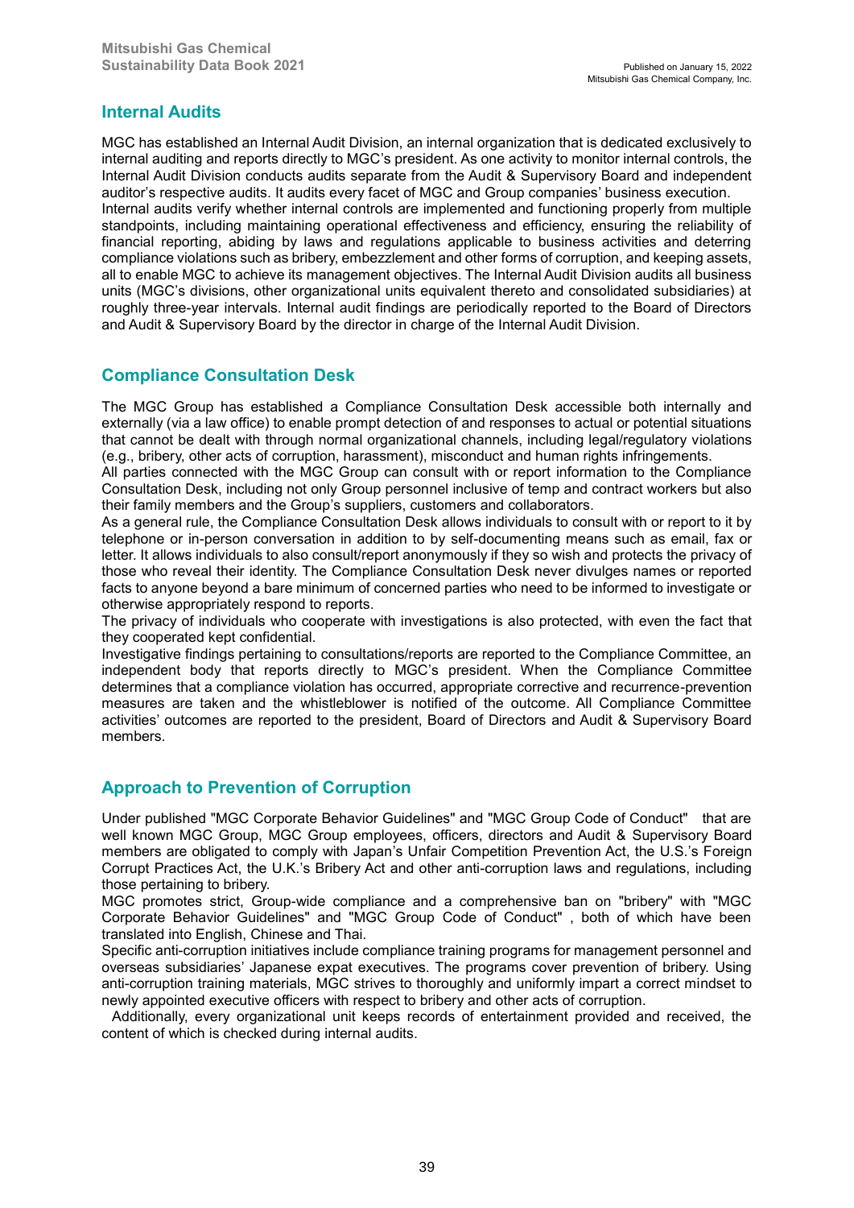### **Internal Audits**

MGC has established an Internal Audit Division, an internal organization that is dedicated exclusively to internal auditing and reports directly to MGC's president. As one activity to monitor internal controls, the Internal Audit Division conducts audits separate from the Audit & Supervisory Board and independent auditor's respective audits. It audits every facet of MGC and Group companies' business execution. Internal audits verify whether internal controls are implemented and functioning properly from multiple standpoints, including maintaining operational effectiveness and efficiency, ensuring the reliability of financial reporting, abiding by laws and regulations applicable to business activities and deterring compliance violations such as bribery, embezzlement and other forms of corruption, and keeping assets, all to enable MGC to achieve its management objectives. The Internal Audit Division audits all business units (MGC's divisions, other organizational units equivalent thereto and consolidated subsidiaries) at roughly three-year intervals. Internal audit findings are periodically reported to the Board of Directors and Audit & Supervisory Board by the director in charge of the Internal Audit Division.

### **Compliance Consultation Desk**

The MGC Group has established a Compliance Consultation Desk accessible both internally and externally (via a law office) to enable prompt detection of and responses to actual or potential situations that cannot be dealt with through normal organizational channels, including legal/regulatory violations (e.g., bribery, other acts of corruption, harassment), misconduct and human rights infringements.

All parties connected with the MGC Group can consult with or report information to the Compliance Consultation Desk, including not only Group personnel inclusive of temp and contract workers but also their family members and the Group's suppliers, customers and collaborators.

As a general rule, the Compliance Consultation Desk allows individuals to consult with or report to it by telephone or in-person conversation in addition to by self-documenting means such as email, fax or letter. It allows individuals to also consult/report anonymously if they so wish and protects the privacy of those who reveal their identity. The Compliance Consultation Desk never divulges names or reported facts to anyone beyond a bare minimum of concerned parties who need to be informed to investigate or otherwise appropriately respond to reports.

The privacy of individuals who cooperate with investigations is also protected, with even the fact that they cooperated kept confidential.

Investigative findings pertaining to consultations/reports are reported to the Compliance Committee, an independent body that reports directly to MGC's president. When the Compliance Committee determines that a compliance violation has occurred, appropriate corrective and recurrence-prevention measures are taken and the whistleblower is notified of the outcome. All Compliance Committee activities' outcomes are reported to the president, Board of Directors and Audit & Supervisory Board members.

### **Approach to Prevention of Corruption**

Under published "MGC Corporate Behavior Guidelines" and "MGC Group Code of Conduct" that are well known MGC Group, MGC Group employees, officers, directors and Audit & Supervisory Board members are obligated to comply with Japan's Unfair Competition Prevention Act, the U.S.'s Foreign Corrupt Practices Act, the U.K.'s Bribery Act and other anti-corruption laws and regulations, including those pertaining to bribery.

MGC promotes strict, Group-wide compliance and a comprehensive ban on "bribery" with "MGC Corporate Behavior Guidelines" and "MGC Group Code of Conduct" , both of which have been translated into English, Chinese and Thai.

Specific anti-corruption initiatives include compliance training programs for management personnel and overseas subsidiaries' Japanese expat executives. The programs cover prevention of bribery. Using anti-corruption training materials, MGC strives to thoroughly and uniformly impart a correct mindset to newly appointed executive officers with respect to bribery and other acts of corruption.

Additionally, every organizational unit keeps records of entertainment provided and received, the content of which is checked during internal audits.